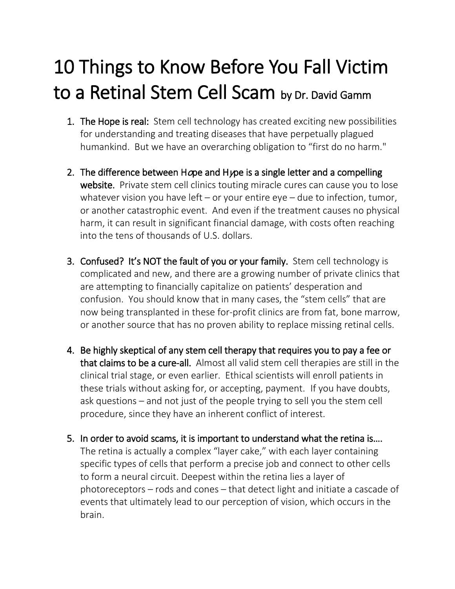## 10 Things to Know Before You Fall Victim to a Retinal Stem Cell Scam by Dr. David Gamm

- 1. The Hope is real: Stem cell technology has created exciting new possibilities for understanding and treating diseases that have perpetually plagued humankind. But we have an overarching obligation to "first do no harm."
- 2. The difference between Hope and Hype is a single letter and a compelling website. Private stem cell clinics touting miracle cures can cause you to lose whatever vision you have left – or your entire eye – due to infection, tumor, or another catastrophic event. And even if the treatment causes no physical harm, it can result in significant financial damage, with costs often reaching into the tens of thousands of U.S. dollars.
- 3. Confused? It's NOT the fault of you or your family. Stem cell technology is complicated and new, and there are a growing number of private clinics that are attempting to financially capitalize on patients' desperation and confusion. You should know that in many cases, the "stem cells" that are now being transplanted in these for-profit clinics are from fat, bone marrow, or another source that has no proven ability to replace missing retinal cells.
- 4. Be highly skeptical of any stem cell therapy that requires you to pay a fee or that claims to be a cure-all. Almost all valid stem cell therapies are still in the clinical trial stage, or even earlier. Ethical scientists will enroll patients in these trials without asking for, or accepting, payment. If you have doubts, ask questions – and not just of the people trying to sell you the stem cell procedure, since they have an inherent conflict of interest.
- 5. In order to avoid scams, it is important to understand what the retina is…. The retina is actually a complex "layer cake," with each layer containing specific types of cells that perform a precise job and connect to other cells to form a neural circuit. Deepest within the retina lies a layer of photoreceptors – rods and cones – that detect light and initiate a cascade of events that ultimately lead to our perception of vision, which occurs in the brain.